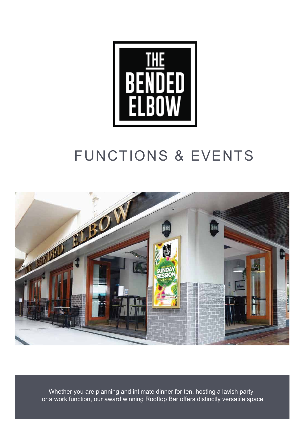

# FUNCTIONS & EVENTS



Whether you are planning and intimate dinner for ten, hosting a lavish party or a work function, our award winning Rooftop Bar offers distinctly versatile space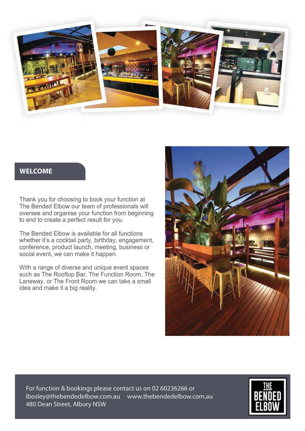

# **WELCOME**

Thank you for choosing to book your function at The Bended Elbow our team of professionals will oversee and organise your function from beginning to end to create a perfect result for you.

The Bended Elbow is available for all functions whether it's a cocktail party, birthday, engagement, conference, product launch, meeting, business or social event, we can make it happen.

With a range of diverse and unique event spaces such as The Rooftop Bar, The Function Room, The Laneway, or The Front Room we can take a small idea and make it a big reality.



For function & bookings please contact us on 02 60236266 or lbosley@thebendedelbow.com.au www.thebendedelbow.com.au 480 Dean Street, Albury NSW 480 Dean Street, Albury NSW

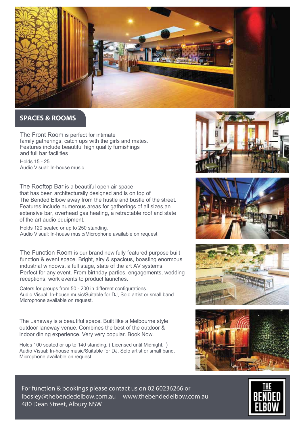

# **SPACES & ROOMS**

The Front Room is perfect for intimate family gatherings, catch ups with the girls and mates. Features include beautiful high quality furnishings and full bar facilities

Holds 15 - 25 Audio Visual: In-house music

The Rooftop Bar is a beautiful open air space that has been architecturally designed and is on top of The Bended Elbow away from the hustle and bustle of the street. Features include numerous areas for gatherings of all sizes,an extensive bar, overhead gas heating, a retractable roof and state of the art audio equipment.

Holds 120 seated or up to 250 standing. Audio Visual: In-house music/Microphone available on request

The Function Room is our brand new fully featured purpose built function & event space. Bright, airy & spacious, boasting enormous industrial windows, a full stage, state of the art AV systems. Perfect for any event. From birthday parties, engagements, wedding receptions, work events to product launches.

Caters for groups from 50 - 200 in different configurations. Audio Visual: In-house music/Suitable for DJ, Solo artist or small band. Microphone available on request.

The Laneway is a beautiful space. Built like a Melbourne style outdoor laneway venue. Combines the best of the outdoor & indoor dining experience. Very very popular. Book Now.

Holds 100 seated or up to 140 standing. ( Licensed until Midnight. ) Audio Visual: In-house music/Suitable for DJ, Solo artist or small band. Microphone available on request











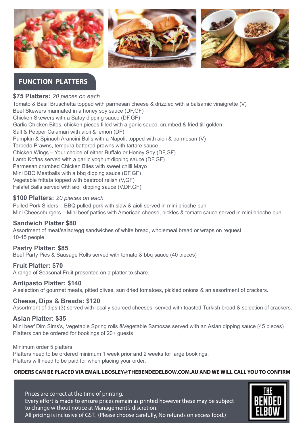

# **FUNCTION PLATTERS**

# **\$75 Platters:** *20 pieces on each*

Tomato & Basil Bruschetta topped with parmesan cheese & drizzled with a balsamic vinaigrette (V) Beef Skewers marinated in a honey soy sauce (DF,GF) Chicken Skewers with a Satay dipping sauce (DF,GF) Garlic Chicken Bites, chicken pieces filled with a garlic sauce, crumbed & fried till golden Salt & Pepper Calamari with aioli & lemon (DF) Pumpkin & Spinach Arancini Balls with a Napoli, topped with aioli & parmesan (V) Torpedo Prawns, tempura battered prawns with tartare sauce Chicken Wings – Your choice of either Buffalo or Honey Soy (DF,GF) Lamb Koftas served with a garlic yoghurt dipping sauce (DF,GF) Parmesan crumbed Chicken Bites with sweet chilli Mayo Mini BBQ Meatballs with a bbq dipping sauce (DF,GF) Vegetable frittata topped with beetroot relish (V,GF) Falafel Balls served with aioli dipping sauce (V,DF,GF)

# **\$100 Platters:** *20 pieces on each*

Pulled Pork Sliders – BBQ pulled pork with slaw & aioli served in mini brioche bun Mini Cheeseburgers – Mini beef patties with American cheese, pickles & tomato sauce served in mini brioche bun

# **Sandwich Platter \$80**

Assortment of meat/salad/egg sandwiches of white bread, wholemeal bread or wraps on request. 10-15 people

# **Pastry Platter: \$85**

Beef Party Pies & Sausage Rolls served with tomato & bbq sauce (40 pieces)

# **Fruit Platter: \$70**

A range of Seasonal Fruit presented on a platter to share.

# **Antipasto Platter: \$140**

A selection of gourmet meats, pitted olives, sun dried tomatoes, pickled onions & an assortment of crackers.

# **Cheese, Dips & Breads: \$120**

Assortment of dips (3) served with locally sourced cheeses, served with toasted Turkish bread & selection of crackers.

# **Asian Platter: \$35**

Mini beef Dim Sims's, Vegetable Spring rolls &Vegetable Samosas served with an Asian dipping sauce (45 pieces) Platters can be ordered for bookings of 20+ guests

Minimum order 5 platters Platters need to be ordered minimum 1 week prior and 2 weeks for large bookings. Platters will need to be paid for when placing your order.

# **ORDERS CAN BE PLACED VIA EMAIL LBOSLEY@THEBENDEDELBOW.COM.AU AND WE WILL CALL YOU TO CONFIRM**

Prices are correct at the time of printing. Every effort is made to ensure prices remain as printed however these may be subject to change without notice at Management's discretion. All pricing is inclusive of GST. (Please choose carefully, No refunds on excess food.)